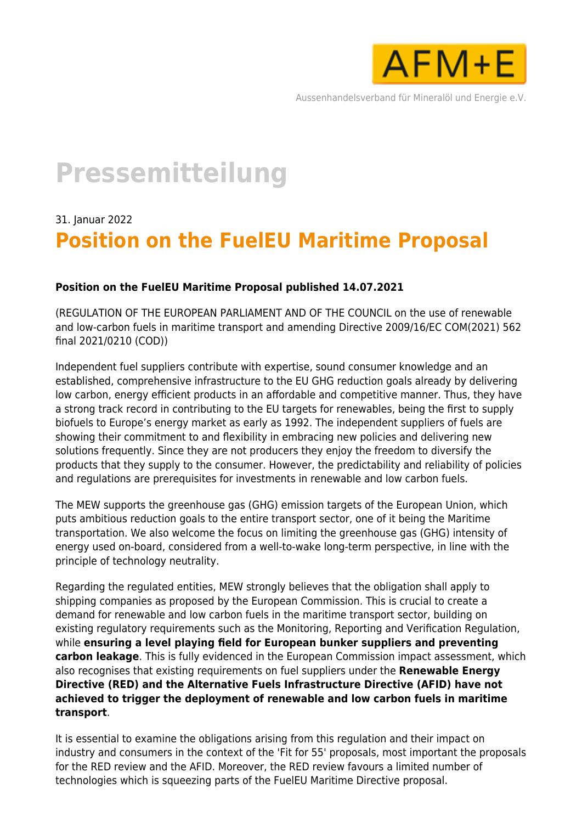

Aussenhandelsverband für Mineralöl und Energie e.V.

# **Pressemitteilung**

## 31. Januar 2022 **Position on the FuelEU Maritime Proposal**

### **Position on the FuelEU Maritime Proposal published 14.07.2021**

(REGULATION OF THE EUROPEAN PARLIAMENT AND OF THE COUNCIL on the use of renewable and low-carbon fuels in maritime transport and amending Directive 2009/16/EC COM(2021) 562 final 2021/0210 (COD))

Independent fuel suppliers contribute with expertise, sound consumer knowledge and an established, comprehensive infrastructure to the EU GHG reduction goals already by delivering low carbon, energy efficient products in an affordable and competitive manner. Thus, they have a strong track record in contributing to the EU targets for renewables, being the first to supply biofuels to Europe's energy market as early as 1992. The independent suppliers of fuels are showing their commitment to and flexibility in embracing new policies and delivering new solutions frequently. Since they are not producers they enjoy the freedom to diversify the products that they supply to the consumer. However, the predictability and reliability of policies and regulations are prerequisites for investments in renewable and low carbon fuels.

The MEW supports the greenhouse gas (GHG) emission targets of the European Union, which puts ambitious reduction goals to the entire transport sector, one of it being the Maritime transportation. We also welcome the focus on limiting the greenhouse gas (GHG) intensity of energy used on-board, considered from a well-to-wake long-term perspective, in line with the principle of technology neutrality.

Regarding the regulated entities, MEW strongly believes that the obligation shall apply to shipping companies as proposed by the European Commission. This is crucial to create a demand for renewable and low carbon fuels in the maritime transport sector, building on existing regulatory requirements such as the Monitoring, Reporting and Verification Regulation, while **ensuring a level playing field for European bunker suppliers and preventing carbon leakage**. This is fully evidenced in the European Commission impact assessment, which also recognises that existing requirements on fuel suppliers under the **Renewable Energy Directive (RED) and the Alternative Fuels Infrastructure Directive (AFID) have not achieved to trigger the deployment of renewable and low carbon fuels in maritime transport**.

It is essential to examine the obligations arising from this regulation and their impact on industry and consumers in the context of the 'Fit for 55' proposals, most important the proposals for the RED review and the AFID. Moreover, the RED review favours a limited number of technologies which is squeezing parts of the FuelEU Maritime Directive proposal.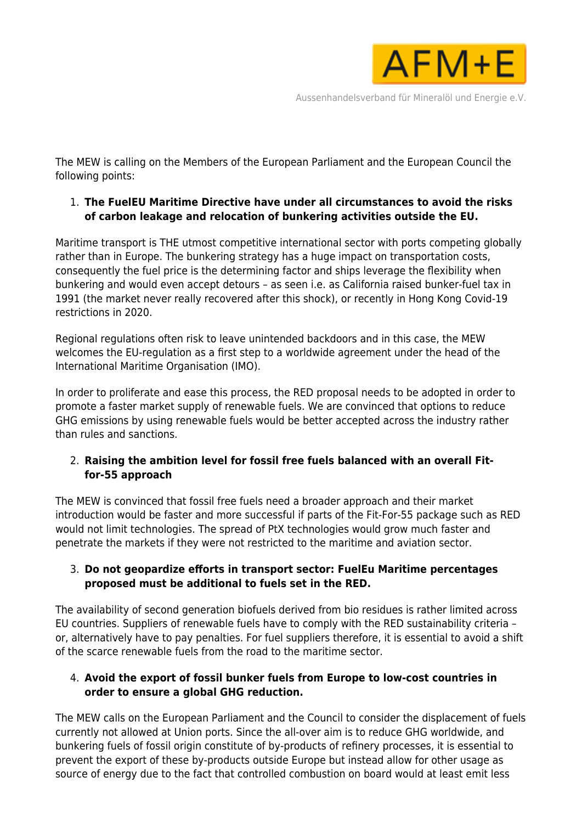

The MEW is calling on the Members of the European Parliament and the European Council the following points:

### 1. **The FuelEU Maritime Directive have under all circumstances to avoid the risks of carbon leakage and relocation of bunkering activities outside the EU.**

Maritime transport is THE utmost competitive international sector with ports competing globally rather than in Europe. The bunkering strategy has a huge impact on transportation costs, consequently the fuel price is the determining factor and ships leverage the flexibility when bunkering and would even accept detours – as seen i.e. as California raised bunker-fuel tax in 1991 (the market never really recovered after this shock), or recently in Hong Kong Covid-19 restrictions in 2020.

Regional regulations often risk to leave unintended backdoors and in this case, the MEW welcomes the EU-regulation as a first step to a worldwide agreement under the head of the International Maritime Organisation (IMO).

In order to proliferate and ease this process, the RED proposal needs to be adopted in order to promote a faster market supply of renewable fuels. We are convinced that options to reduce GHG emissions by using renewable fuels would be better accepted across the industry rather than rules and sanctions.

### 2. **Raising the ambition level for fossil free fuels balanced with an overall Fitfor-55 approach**

The MEW is convinced that fossil free fuels need a broader approach and their market introduction would be faster and more successful if parts of the Fit-For-55 package such as RED would not limit technologies. The spread of PtX technologies would grow much faster and penetrate the markets if they were not restricted to the maritime and aviation sector.

### 3. **Do not geopardize efforts in transport sector: FuelEu Maritime percentages proposed must be additional to fuels set in the RED.**

The availability of second generation biofuels derived from bio residues is rather limited across EU countries. Suppliers of renewable fuels have to comply with the RED sustainability criteria – or, alternatively have to pay penalties. For fuel suppliers therefore, it is essential to avoid a shift of the scarce renewable fuels from the road to the maritime sector.

### 4. **Avoid the export of fossil bunker fuels from Europe to low-cost countries in order to ensure a global GHG reduction.**

The MEW calls on the European Parliament and the Council to consider the displacement of fuels currently not allowed at Union ports. Since the all-over aim is to reduce GHG worldwide, and bunkering fuels of fossil origin constitute of by-products of refinery processes, it is essential to prevent the export of these by-products outside Europe but instead allow for other usage as source of energy due to the fact that controlled combustion on board would at least emit less